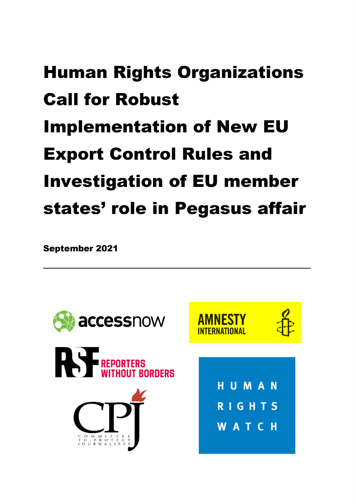### **Human Rights Organizations Call for Robust Implementation of New EU Export Control Rules and Investigation of EU member** states' role in Pegasus affair

September 2021

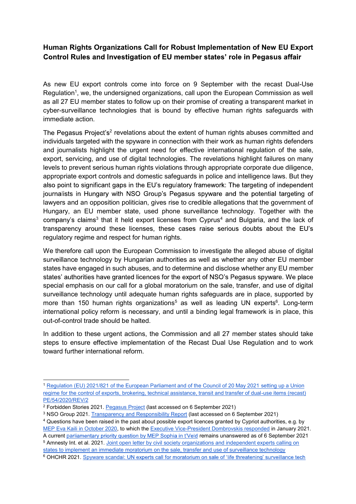# Human Rights Organizations Call for Robust Implementation of New EU Export<br>Control Rules and Investigation of EU member states' role in Pegasus affair<br>As new EU export controls come into force on 9 September with the recas

Human Rights Organizations Call for Robust Implementation of New EU Export<br>Control Rules and Investigation of EU member states' role in Pegasus affair<br>As new EU export controls come into force on 9 September with the recas Human Rights Organizations Call for Robust Implementation of New EU Export<br>Control Rules and Investigation of EU member states' role in Pegasus affair<br>As new EU export controls come into force on 9 September with the recas Human Rights Organizations Call for Robust Implementation of New EU Export<br>Control Rules and Investigation of EU member states' role in Pegasus affair<br>As new EU export controls come into force on 9 September with the recas Human Rights Organizations Call for Robust Implementation of New EU Export<br>Control Rules and Investigation of EU member states' role in Pegasus affair<br>Regulation', we, the undersigned organizations, call upon the European Human Rights Organizations Call for Robust Implementation of Ne<br>Control Rules and Investigation of EU member states' role in Pegas<br>As new EU export controls come into force on 9 September with the re<br>Regulation<sup>1</sup>, we, the

mizations Call for Robust Implementation of New EU Export<br>nvestigation of EU member states' role in Pegasus affair<br>notrols come into force on 9 September with the recast Dual-Use<br>dersigned organizations, call upon the Euro **Human Rights Organizations Call for Robust Implementation of New EU Export**<br>Control Rules and Investigation of EU member states' role in Pegasus affair<br>Regulation', we, the undersigned organizations, call upon the Europea **Human Rights Organizations Call for Robust Implementation of New EU Export**<br>**Control Rules and Investigation of EU member states' role in Pegasus affair**<br>As new EU export controls come into force on 9 September with the r Human Rights Organizations Call for Robust Implementation of New EU Export<br>Control Rules and Investigation of EU member states' role in Pegasus affair<br>As new EU export controls come into force on 9 September with the recas **Human Rights Organizations Call for Robust Implementation of New EU Export<br>Control Rules and Investigation of EU member states' role in Pegasus affair<br>As new EU export controls come into force on 9 September with the rec Human Rights Organizations Call for Robust Implementation of New EU Export**<br>Control Rules and Investigation of EU member states' role in Pegasus affair<br>As new EU export controls come into force on 9 September with the rec Human Rights Organizations Call for Robust Implementation of New EU Export<br>Control Rules and Investigation of EU member states' role in Pegasus affair<br>As new EU export controls come into force on 9 September with the recas Control Rules and Investigation of EU member states' role in Pegasus affair<br>As new EU export controls come into force on 9 September with the recast Dual-Use<br>Regulation<sup>1</sup>, we, the undersigned organizations, call upon the nt controls come into force on 9 September with the recast Dual-Use<br>e undersigned organizations, call upon the European Commission as well<br>be states to follow up on their promise of creating a transparent market in<br>technol As new EU export controls come into force on 9 September with the recast Dual-Use<br>Regulation', we, the undersigned organizations, call upon the European Commission as well<br>as all 27 EU member states to follow up on their p in and 127 EU member states to follow up on their promise of creating a transparent market in exploration in which promise of creating a transparent market in cyber-surveillance technologies that is bound by effective huma surveillance technologies that is bound by effective human rights safeguards with<br>immediate action.<br>The Pegasus Project's<sup>2</sup> revelations about the extent of human rights abuses committed and<br>individuals targeted with the s states have the engage in the states of channel in their work as business committed and<br>immediate action.<br>The Pegasus Project's<sup>2</sup> revelations about the extent of human rights abuses committed and<br>individuals targeted with The Pegasus Project's<sup>2</sup> revelations about the extent of human rights abuses committed and individuals targeted with the yoware in comection with their work as human rights defenders and journalists highlight the urgent ne individuals targeted with the spyware in connection with their work as human rights defenders<br>export, servicing, and use of digital technologies. The revelations in regulation of the sale,<br>export, servicing, and use of dig and journalists highlight the urgent need for effective international regulation of the sale,<br>expert, sevicing, and use of digital technologies. The revelations highlight failures on many<br>everst o prevent serious human rig export, servicing, and use of digital technologies. The revelations highlight failures on many<br>everts of prevent serius human rights violations through appropriate corporate due diigence,<br>appropriate export controls and do

levels to prevent serious human rights violations through appropriate corporate due diligence,<br>appropriate export controls and domestic safeguards in police and intelligence laws. But they<br>also point to significant gaps in states and an opposition of the Recast of the Recast Dual interpret actions, the state is equilatory framework. The targeting of independent iournalists in Hungary with NSO Group's Pegasus spyware and the potential targeti steps to the many of the Consulton and the Computer of the Recast Dual Use Regulation and the protection of lawyers and an opposition politician, gives rise to credible allegations that the government of Hungary is charged blances are ricting in with the colorer of Pegacian spyrinc and a to potential and propertion politician, gives rise to credible allegations that the government of Hungary, an EU member state, used phone surveillance techn The properties of the European Explicites, in the Council of 20 May 2021 setting the Sustainable and the European Commission to investigate the alleged abuse of digital surveillance technology by Hungarian authorities as w regulatiory regime and respect for human rights.<br>We therefore call upon the European Commission to investigate the alleged abuse of digital<br>We unterfare call upon the European Commission to investigate the alleged abuse of We therefore can upon the European Can thromission to investigate the alteged abouts of orginals and the European states have engaged in such abouses, and to determine and disclose whether any EU member states awore engage surveillance technology by Hungraian authroities as well as whether any other EU member<br>states have engaged in such abuses, and to determine and disclose whether any EU member<br>states' authorities have granted licences for states have engaged in such abuses, and to determine and disclose whether any EU member<br>states' authorities have granted licences for the export of NSO's Pegasus spyware. We place<br>special emphasis on our call for a global states' authorities have granted licences for the export of NSO's Pegasus spyware. We place<br>special emphasis on our call for a global moratorium on the sale, transfer, and use of digital<br>surveillance technology until adequ special emphasis on our call for a global moratorium on the sale, transfer, and use of digital<br>surveillance technology until adequate human rights safeguards are in place, supported by<br>surveillance technology until adequat spectral empiricials on tot are invorational modular modular modular modular control is allowed to the select a supported by surveillance technology until adequate human rights safeguards are in place, supported by more th surveillance technology until adequate human rights sateguards are in place, supported by<br>three than 150 human rights organizations<sup>5</sup> as well as leading UN experts<sup>6</sup>. Long-term<br>international policy reform is necessary, a

more than 150 human rights organizations<sup>5</sup> as well as leading UN experts<sup>6</sup>. Long-international policy reform is necessary, and until a binding legal framework is in place, out-of-control trade should be halted.<br>In additi

PE/54/2020/REV/2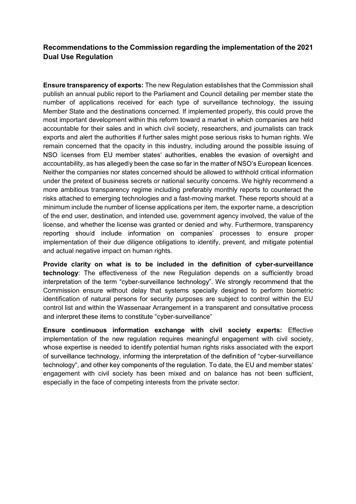## Recommendations to the Commission regarding the implementation of the 2021<br>Dual Use Regulation<br>Ensure transparency of exports: The new Requlation establishes that the Commission shall Recommendations to the Commission regarding the implementation<br>Dual Use Regulation<br>Ensure transparency of exports: The new Regulation establishes that the Cor<br>publish an annual public report to the Parliament and Council d

Recommendations to the Commission regarding the implementation of the 2021<br>Dual Use Regulation<br>Ensure transparency of exports: The new Regulation establishes that the Commission shall<br>publish an annual public report to the Recommendations to the Commission regarding the implementation of the 2021<br>Dual Use Regulation<br>Ensure transparency of exports: The new Regulation establishes that the Commission shall<br>publish an annual public report to the Recommendations to the Commission regarding the implementation of the 2021<br>Dual Use Regulation<br>Ensure transparency of exports: The new Regulation establishes that the Commission shall<br>publish an annual public report to the Recommendations to the Commission regarding the implementation of the 2021<br>Dual Use Regulation<br>Ensure transparency of exports: The new Regulation establishes that the Commission shall<br>publish an annual public report to the Recommendations to the Commission regarding the implementation of the 2021<br>Dual Use Regulation<br>Ensure transparency of exports: The new Regulation establishes that the Commission shall<br>publish an annual public report to the **Recommendations to the Commission regarding the implementation of the 2021**<br>**Dual Use Regulation**<br>**Ensure transparency of exports:** The new Regulation establishes that the Commission shall<br>publish an annual public report Recommendations to the Commission regarding the implementation of the 2021<br>Dual Use Regulation<br>Ensure transparency of exports: The new Regulation establishes that the Commission shall<br>publish an annual public report to the Recommendations to the Commission regarding the implementation of the 2021<br>Dual Use Regulation<br>Ensure transparency of exports: The new Regulation establishes that the Commission shall<br>publish an annual public report to the Recommendations to the Commission regarding the implementation of th<br>Dual Use Regulation<br>
Ensure transparency of exports: The new Regulation establishes that the Commissi<br>
publish an annual public report to the Parliament Recommendations to the Commission regarding the implementation of the 2021<br>Dual Use Regulation<br>
Ensure transparency of exports: The new Regulation establishes that the Commission shall<br>
publish an annual public report to t Recommendations to the Commission regarding the implementation of the 2021<br>Dual Use Regulation<br>
Ensure transparency of exports: The new Regulation establishes that the Commission shall<br>
publish an annual public report to t Recommendations to the Commission regarding the implementation of the 2021<br>Dual Use Regulation<br>
Ensure transparency of exports: The new Regulation establishes that the Commission shall<br>
publish an annual public report to t Recommendations to the Commission regarding the implementation of the 2021<br>Dual Use Regulation<br>Ensure transparency of exports: The new Regulation establishes that the Commission shall<br>publish an annual public report to the **Dual Use Regulation**<br> **Ensure transparency of exports:** The new Regulation establishes that the Commission shall<br>
publish an annual public report to the Parliament and Council detailing per member state the<br>
number of app **Ensure transparency of exports:** The new Regulation establishes that the Commission shall publish an annual public report to the Parliament and Council detailing per member state the number of applications received for ea **Ensure transparency of exports:** The new Regulation establishes that the Commission shall<br>publish an annual public report to the Partiament and Council detailing per member state the<br>number of applications received for ea ilishes that the Commission shall<br>il detailing per member state the<br>illance technology, the issuing<br>ead properly, this could prove the<br>ket in which companies are held<br>cchers, and journalists can track<br>erious risks to human Eits are transparently of expainting the minimum constrained transmission and the Commission is an annual public report to the Parliament and Council detailing per member state the number of applications received for each punsin an among punctive the rannihientation Countinetation of the rannoming per intermediate the property. The sisting Member State and the destinations concerned. If implemented properly, this could prove the most import Member State and the destinations concerned. If implemented properly, this could prove the most important development within this reform toward a market in which companies are held accountable for their sales and in which most important development within this reform toward a market in which companies are held<br>accountable for their sales and in which civil society, researchers, and journalists can track<br>exports and det the authorities if fu exports and alent the authorities if further sales might pose serious risks to human rights. We<br>remain concerned that the opacity in this industry, including around the possible issuing of<br>NSO licenses from EU member state remain concerned that the opacity in this industry, including around the possible issuing of<br>NSO licenses from EU member states' authorities, enables the evasion of oversight and<br>accountability, as has allegedy been the ca NSO licenses from EU member states' authorities, enables the evasion of oversight and<br>accountability, as has allegedly been the case of arria the matter of NSO's European licences.<br>Neither the companies nor states concerne Function to compute the present of continuo of the present of the present of business secrets or national security concerns. We highly recommend a<br>more ambitious transparency regime including preferably monthly reports to incent in the method of the new Regulation dependent of the new regulation of the new regulation of the new regulation of the new regulation of the new regulation of the new regulation of the new regulation of the new regu whose annot any expertise in ensurating precise in the expertise and a fast-moving market. These reports should at a minimum include the number of license applications per item, the exporter name, a description of the end

of surveillance technology, informing the interpretation of the definition of "cyber-surveillance" engagement with civil society has been mixed and on balance has not been sufficient, expecting should include information on companies' processes to ensure proper<br>reporting should include information on companies' processes to ensure proper<br>implementation of their due diligence obligations to identify, pre